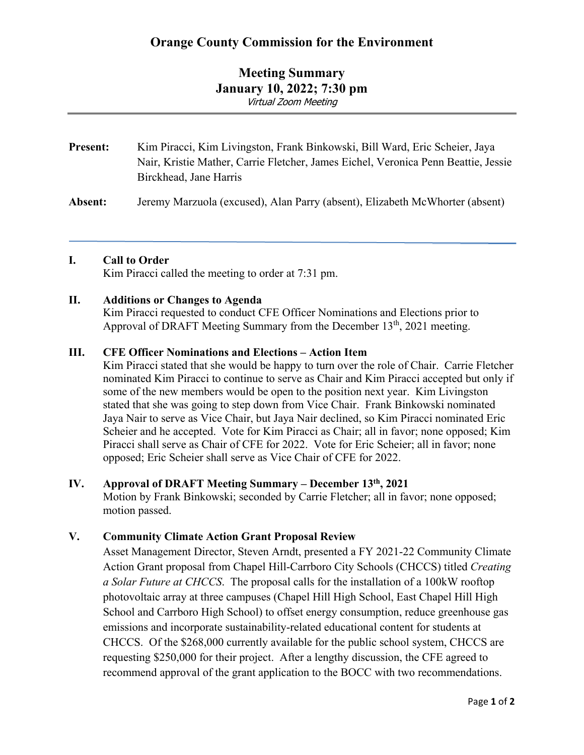# **Orange County Commission for the Environment**

## **Meeting Summary January 10, 2022; 7:30 pm** Virtual Zoom Meeting

| <b>Present:</b> | Kim Piracci, Kim Livingston, Frank Binkowski, Bill Ward, Eric Scheier, Jaya        |
|-----------------|------------------------------------------------------------------------------------|
|                 | Nair, Kristie Mather, Carrie Fletcher, James Eichel, Veronica Penn Beattie, Jessie |
|                 | Birckhead, Jane Harris                                                             |

**Absent:** Jeremy Marzuola (excused), Alan Parry (absent), Elizabeth McWhorter (absent)

#### **I. Call to Order**

Kim Piracci called the meeting to order at 7:31 pm.

#### **II. Additions or Changes to Agenda**

Kim Piracci requested to conduct CFE Officer Nominations and Elections prior to Approval of DRAFT Meeting Summary from the December  $13<sup>th</sup>$ , 2021 meeting.

#### **III. CFE Officer Nominations and Elections – Action Item**

Kim Piracci stated that she would be happy to turn over the role of Chair. Carrie Fletcher nominated Kim Piracci to continue to serve as Chair and Kim Piracci accepted but only if some of the new members would be open to the position next year. Kim Livingston stated that she was going to step down from Vice Chair. Frank Binkowski nominated Jaya Nair to serve as Vice Chair, but Jaya Nair declined, so Kim Piracci nominated Eric Scheier and he accepted. Vote for Kim Piracci as Chair; all in favor; none opposed; Kim Piracci shall serve as Chair of CFE for 2022. Vote for Eric Scheier; all in favor; none opposed; Eric Scheier shall serve as Vice Chair of CFE for 2022.

#### **IV. Approval of DRAFT Meeting Summary – December 13th, 2021**

Motion by Frank Binkowski; seconded by Carrie Fletcher; all in favor; none opposed; motion passed.

### **V. Community Climate Action Grant Proposal Review**

Asset Management Director, Steven Arndt, presented a FY 2021-22 Community Climate Action Grant proposal from Chapel Hill-Carrboro City Schools (CHCCS) titled *Creating a Solar Future at CHCCS*. The proposal calls for the installation of a 100kW rooftop photovoltaic array at three campuses (Chapel Hill High School, East Chapel Hill High School and Carrboro High School) to offset energy consumption, reduce greenhouse gas emissions and incorporate sustainability-related educational content for students at CHCCS. Of the \$268,000 currently available for the public school system, CHCCS are requesting \$250,000 for their project. After a lengthy discussion, the CFE agreed to recommend approval of the grant application to the BOCC with two recommendations.